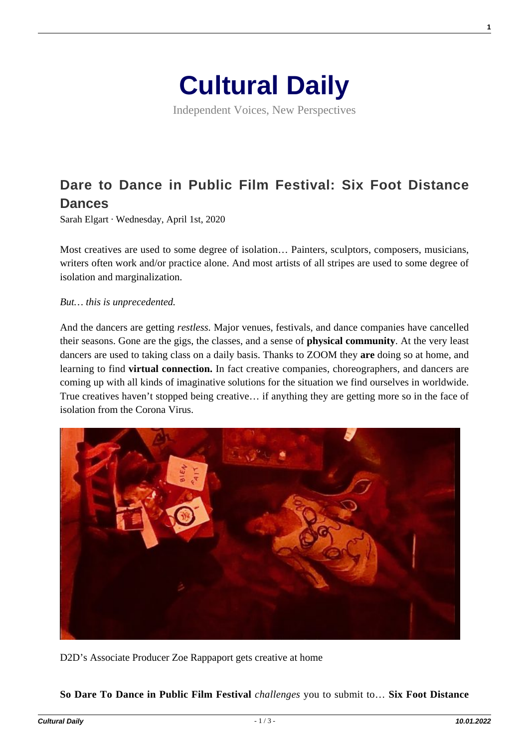

Independent Voices, New Perspectives

# **[Dare to Dance in Public Film Festival: Six Foot Distance](https://culturaldaily.com/dare-dance-public-film-festival-six-foot-distance-dances/) [Dances](https://culturaldaily.com/dare-dance-public-film-festival-six-foot-distance-dances/)**

Sarah Elgart · Wednesday, April 1st, 2020

Most creatives are used to some degree of isolation… Painters, sculptors, composers, musicians, writers often work and/or practice alone. And most artists of all stripes are used to some degree of isolation and marginalization.

*But… this is unprecedented.*

And the dancers are getting *restless.* Major venues, festivals, and dance companies have cancelled their seasons. Gone are the gigs, the classes, and a sense of **physical community**. At the very least dancers are used to taking class on a daily basis. Thanks to ZOOM they **are** doing so at home, and learning to find **virtual connection.** In fact creative companies, choreographers, and dancers are coming up with all kinds of imaginative solutions for the situation we find ourselves in worldwide. True creatives haven't stopped being creative… if anything they are getting more so in the face of isolation from the Corona Virus.



D2D's Associate Producer Zoe Rappaport gets creative at home

**So Dare To Dance in Public Film Festival** *challenges* you to submit to… **Six Foot Distance**

**1**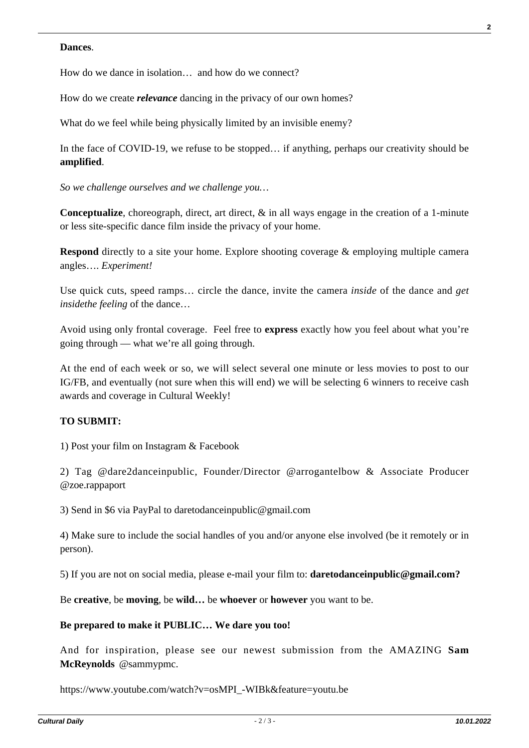#### **Dances**.

How do we dance in isolation… and how do we connect?

How do we create *relevance* dancing in the privacy of our own homes?

What do we feel while being physically limited by an invisible enemy?

In the face of COVID-19, we refuse to be stopped… if anything, perhaps our creativity should be **amplified**.

*So we challenge ourselves and we challenge you…*

**Conceptualize**, choreograph, direct, art direct, & in all ways engage in the creation of a 1-minute or less site-specific dance film inside the privacy of your home.

**Respond** directly to a site your home. Explore shooting coverage & employing multiple camera angles…. *Experiment!*

Use quick cuts, speed ramps… circle the dance, invite the camera *inside* of the dance and *get insidethe feeling* of the dance…

Avoid using only frontal coverage. Feel free to **express** exactly how you feel about what you're going through — what we're all going through.

At the end of each week or so, we will select several one minute or less movies to post to our IG/FB, and eventually (not sure when this will end) we will be selecting 6 winners to receive cash awards and coverage in Cultural Weekly!

## **TO SUBMIT:**

1) Post your film on Instagram & Facebook

2) Tag @dare2danceinpublic, Founder/Director @arrogantelbow & Associate Producer @zoe.rappaport

3) Send in \$6 via PayPal to daretodanceinpublic@gmail.com

4) Make sure to include the social handles of you and/or anyone else involved (be it remotely or in person).

5) If you are not on social media, please e-mail your film to: **daretodanceinpublic@gmail.com?**

Be **creative**, be **moving**, be **wild…** be **whoever** or **however** you want to be.

#### **Be prepared to make it PUBLIC… We dare you too!**

And for inspiration, please see our newest submission from the AMAZING **Sam McReynolds** @sammypmc.

https://www.youtube.com/watch?v=osMPI\_-WIBk&feature=youtu.be